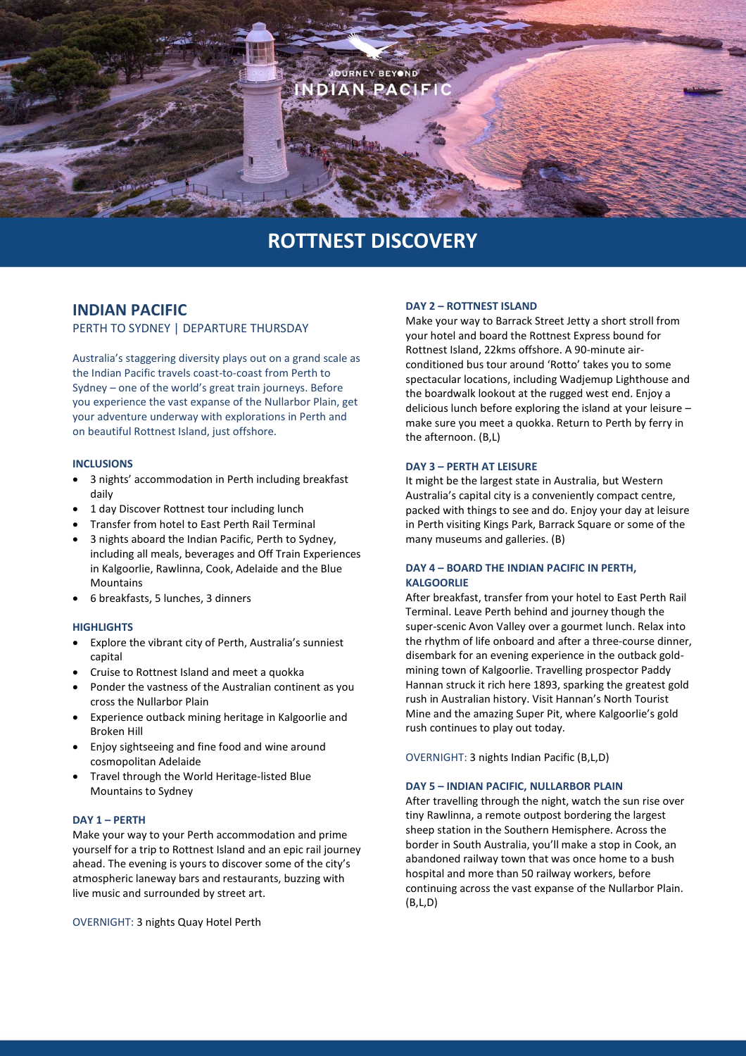

## **ROTTNEST DISCOVERY**

## **INDIAN PACIFIC**

PERTH TO SYDNEY | DEPARTURE THURSDAY

Australia's staggering diversity plays out on a grand scale as the Indian Pacific travels coast-to-coast from Perth to Sydney – one of the world's great train journeys. Before you experience the vast expanse of the Nullarbor Plain, get your adventure underway with explorations in Perth and on beautiful Rottnest Island, just offshore.

#### **INCLUSIONS**

- 3 nights' accommodation in Perth including breakfast daily
- 1 day Discover Rottnest tour including lunch
- Transfer from hotel to East Perth Rail Terminal
- 3 nights aboard the Indian Pacific, Perth to Sydney, including all meals, beverages and Off Train Experiences in Kalgoorlie, Rawlinna, Cook, Adelaide and the Blue Mountains
- 6 breakfasts, 5 lunches, 3 dinners

### **HIGHLIGHTS**

- Explore the vibrant city of Perth, Australia's sunniest capital
- Cruise to Rottnest Island and meet a quokka
- Ponder the vastness of the Australian continent as you cross the Nullarbor Plain
- Experience outback mining heritage in Kalgoorlie and Broken Hill
- Enjoy sightseeing and fine food and wine around cosmopolitan Adelaide
- Travel through the World Heritage-listed Blue Mountains to Sydney

## **DAY 1 – PERTH**

Make your way to your Perth accommodation and prime yourself for a trip to Rottnest Island and an epic rail journey ahead. The evening is yours to discover some of the city's atmospheric laneway bars and restaurants, buzzing with live music and surrounded by street art.

OVERNIGHT: 3 nights Quay Hotel Perth

#### **DAY 2 – ROTTNEST ISLAND**

Make your way to Barrack Street Jetty a short stroll from your hotel and board the Rottnest Express bound for Rottnest Island, 22kms offshore. A 90-minute airconditioned bus tour around 'Rotto' takes you to some spectacular locations, including Wadjemup Lighthouse and the boardwalk lookout at the rugged west end. Enjoy a delicious lunch before exploring the island at your leisure – make sure you meet a quokka. Return to Perth by ferry in the afternoon. (B,L)

#### **DAY 3 – PERTH AT LEISURE**

It might be the largest state in Australia, but Western Australia's capital city is a conveniently compact centre, packed with things to see and do. Enjoy your day at leisure in Perth visiting Kings Park, Barrack Square or some of the many museums and galleries. (B)

## **DAY 4 – BOARD THE INDIAN PACIFIC IN PERTH, KALGOORLIE**

After breakfast, transfer from your hotel to East Perth Rail Terminal. Leave Perth behind and journey though the super-scenic Avon Valley over a gourmet lunch. Relax into the rhythm of life onboard and after a three-course dinner, disembark for an evening experience in the outback goldmining town of Kalgoorlie. Travelling prospector Paddy Hannan struck it rich here 1893, sparking the greatest gold rush in Australian history. Visit Hannan's North Tourist Mine and the amazing Super Pit, where Kalgoorlie's gold rush continues to play out today.

OVERNIGHT: 3 nights Indian Pacific (B,L,D)

#### **DAY 5 – INDIAN PACIFIC, NULLARBOR PLAIN**

After travelling through the night, watch the sun rise over tiny Rawlinna, a remote outpost bordering the largest sheep station in the Southern Hemisphere. Across the border in South Australia, you'll make a stop in Cook, an abandoned railway town that was once home to a bush hospital and more than 50 railway workers, before continuing across the vast expanse of the Nullarbor Plain. (B,L,D)